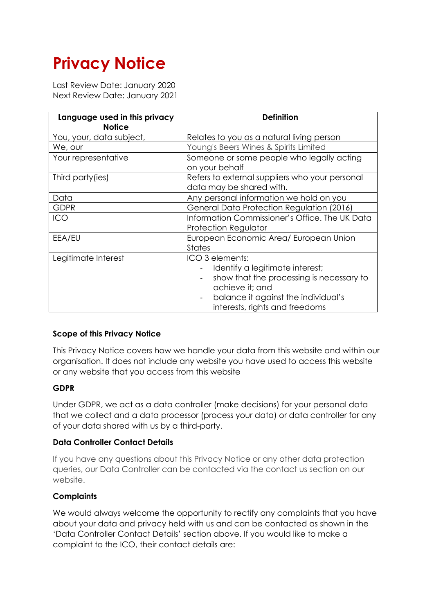# **Privacy Notice**

Last Review Date: January 2020 Next Review Date: January 2021

| Language used in this privacy<br><b>Notice</b> | Definition                                                                                                                                                                                                                     |
|------------------------------------------------|--------------------------------------------------------------------------------------------------------------------------------------------------------------------------------------------------------------------------------|
| You, your, data subject,                       | Relates to you as a natural living person                                                                                                                                                                                      |
| We, our                                        | Young's Beers Wines & Spirits Limited                                                                                                                                                                                          |
| Your representative                            | Someone or some people who legally acting<br>on your behalf                                                                                                                                                                    |
| Third party (ies)                              | Refers to external suppliers who your personal<br>data may be shared with.                                                                                                                                                     |
| Data                                           | Any personal information we hold on you                                                                                                                                                                                        |
| <b>GDPR</b>                                    | General Data Protection Regulation (2016)                                                                                                                                                                                      |
| <b>ICO</b>                                     | Information Commissioner's Office. The UK Data<br><b>Protection Regulator</b>                                                                                                                                                  |
| EEA/EU                                         | European Economic Area/ European Union<br><b>States</b>                                                                                                                                                                        |
| Legitimate Interest                            | ICO 3 elements:<br>Identify a legitimate interest;<br>show that the processing is necessary to<br>$\overline{a}$<br>achieve it; and<br>balance it against the individual's<br>$\blacksquare$<br>interests, rights and freedoms |

## **Scope of this Privacy Notice**

This Privacy Notice covers how we handle your data from this website and within our organisation. It does not include any website you have used to access this website or any website that you access from this website

## **GDPR**

Under GDPR, we act as a data controller (make decisions) for your personal data that we collect and a data processor (process your data) or data controller for any of your data shared with us by a third-party.

## **Data Controller Contact Details**

If you have any questions about this Privacy Notice or any other data protection queries, our Data Controller can be contacted via the contact us section on our website.

## **Complaints**

We would always welcome the opportunity to rectify any complaints that you have about your data and privacy held with us and can be contacted as shown in the 'Data Controller Contact Details' section above. If you would like to make a complaint to the ICO, their contact details are: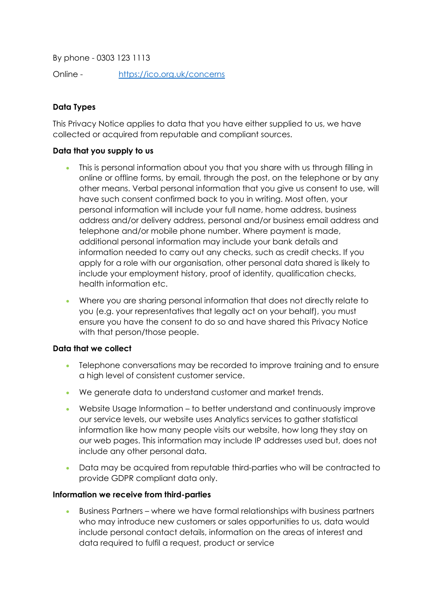By phone - 0303 123 1113

Online - https://ico.org.uk/concerns

# **Data Types**

This Privacy Notice applies to data that you have either supplied to us, we have collected or acquired from reputable and compliant sources.

#### **Data that you supply to us**

- This is personal information about you that you share with us through filling in online or offline forms, by email, through the post, on the telephone or by any other means. Verbal personal information that you give us consent to use, will have such consent confirmed back to you in writing. Most often, your personal information will include your full name, home address, business address and/or delivery address, personal and/or business email address and telephone and/or mobile phone number. Where payment is made, additional personal information may include your bank details and information needed to carry out any checks, such as credit checks. If you apply for a role with our organisation, other personal data shared is likely to include your employment history, proof of identity, qualification checks, health information etc.
- Where you are sharing personal information that does not directly relate to you (e.g. your representatives that legally act on your behalf), you must ensure you have the consent to do so and have shared this Privacy Notice with that person/those people.

#### **Data that we collect**

- Telephone conversations may be recorded to improve training and to ensure a high level of consistent customer service.
- We generate data to understand customer and market trends.
- Website Usage Information to better understand and continuously improve our service levels, our website uses Analytics services to gather statistical information like how many people visits our website, how long they stay on our web pages. This information may include IP addresses used but, does not include any other personal data.
- Data may be acquired from reputable third-parties who will be contracted to provide GDPR compliant data only.

#### **Information we receive from third-parties**

• Business Partners – where we have formal relationships with business partners who may introduce new customers or sales opportunities to us, data would include personal contact details, information on the areas of interest and data required to fulfil a request, product or service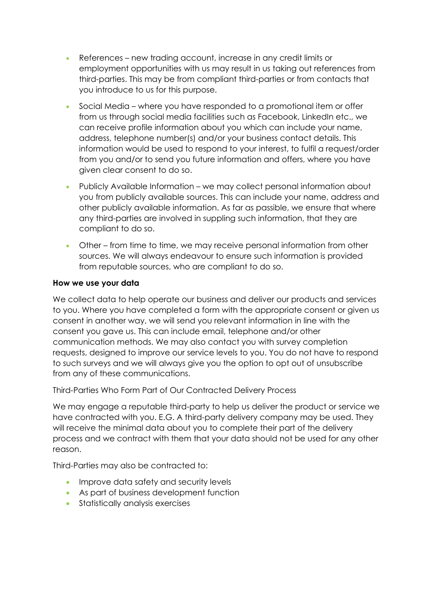- References new trading account, increase in any credit limits or employment opportunities with us may result in us taking out references from third-parties. This may be from compliant third-parties or from contacts that you introduce to us for this purpose.
- Social Media where you have responded to a promotional item or offer from us through social media facilities such as Facebook, LinkedIn etc., we can receive profile information about you which can include your name, address, telephone number(s) and/or your business contact details. This information would be used to respond to your interest, to fulfil a request/order from you and/or to send you future information and offers, where you have given clear consent to do so.
- Publicly Available Information we may collect personal information about you from publicly available sources. This can include your name, address and other publicly available information. As far as passible, we ensure that where any third-parties are involved in suppling such information, that they are compliant to do so.
- Other from time to time, we may receive personal information from other sources. We will always endeavour to ensure such information is provided from reputable sources, who are compliant to do so.

## **How we use your data**

We collect data to help operate our business and deliver our products and services to you. Where you have completed a form with the appropriate consent or given us consent in another way, we will send you relevant information in line with the consent you gave us. This can include email, telephone and/or other communication methods. We may also contact you with survey completion requests, designed to improve our service levels to you. You do not have to respond to such surveys and we will always give you the option to opt out of unsubscribe from any of these communications.

Third-Parties Who Form Part of Our Contracted Delivery Process

We may engage a reputable third-party to help us deliver the product or service we have contracted with you. E.G. A third-party delivery company may be used. They will receive the minimal data about you to complete their part of the delivery process and we contract with them that your data should not be used for any other reason.

Third-Parties may also be contracted to:

- Improve data safety and security levels
- As part of business development function
- Statistically analysis exercises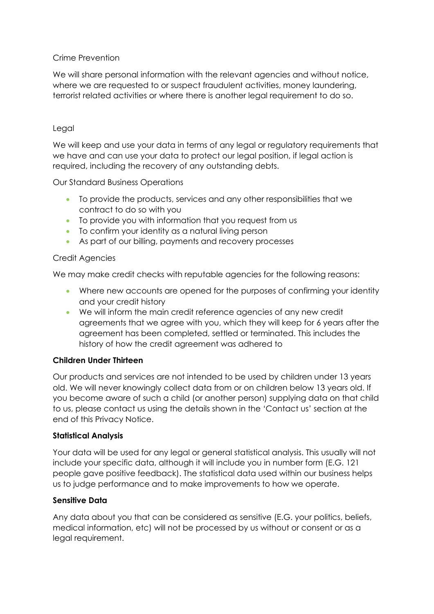## Crime Prevention

We will share personal information with the relevant agencies and without notice, where we are requested to or suspect fraudulent activities, money laundering, terrorist related activities or where there is another legal requirement to do so.

#### Legal

We will keep and use your data in terms of any legal or regulatory requirements that we have and can use your data to protect our legal position, if legal action is required, including the recovery of any outstanding debts.

Our Standard Business Operations

- To provide the products, services and any other responsibilities that we contract to do so with you
- To provide you with information that you request from us
- To confirm your identity as a natural living person
- As part of our billing, payments and recovery processes

#### Credit Agencies

We may make credit checks with reputable agencies for the following reasons:

- Where new accounts are opened for the purposes of confirming your identity and your credit history
- We will inform the main credit reference agencies of any new credit agreements that we agree with you, which they will keep for 6 years after the agreement has been completed, settled or terminated. This includes the history of how the credit agreement was adhered to

## **Children Under Thirteen**

Our products and services are not intended to be used by children under 13 years old. We will never knowingly collect data from or on children below 13 years old. If you become aware of such a child (or another person) supplying data on that child to us, please contact us using the details shown in the 'Contact us' section at the end of this Privacy Notice.

## **Statistical Analysis**

Your data will be used for any legal or general statistical analysis. This usually will not include your specific data, although it will include you in number form (E.G. 121 people gave positive feedback). The statistical data used within our business helps us to judge performance and to make improvements to how we operate.

## **Sensitive Data**

Any data about you that can be considered as sensitive (E.G. your politics, beliefs, medical information, etc) will not be processed by us without or consent or as a legal requirement.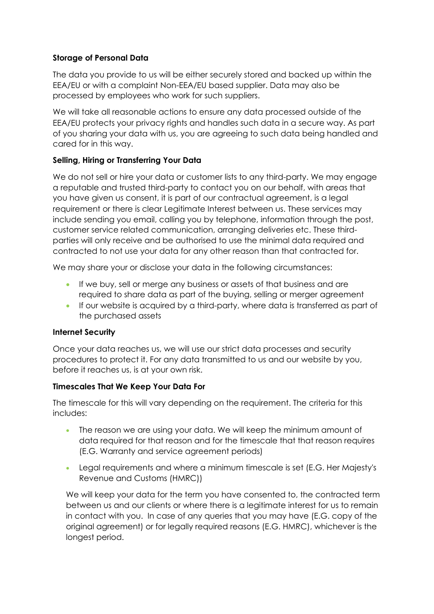## **Storage of Personal Data**

The data you provide to us will be either securely stored and backed up within the EEA/EU or with a complaint Non-EEA/EU based supplier. Data may also be processed by employees who work for such suppliers.

We will take all reasonable actions to ensure any data processed outside of the EEA/EU protects your privacy rights and handles such data in a secure way. As part of you sharing your data with us, you are agreeing to such data being handled and cared for in this way.

# **Selling, Hiring or Transferring Your Data**

We do not sell or hire your data or customer lists to any third-party. We may engage a reputable and trusted third-party to contact you on our behalf, with areas that you have given us consent, it is part of our contractual agreement, is a legal requirement or there is clear Legitimate Interest between us. These services may include sending you email, calling you by telephone, information through the post, customer service related communication, arranging deliveries etc. These thirdparties will only receive and be authorised to use the minimal data required and contracted to not use your data for any other reason than that contracted for.

We may share your or disclose your data in the following circumstances:

- If we buy, sell or merge any business or assets of that business and are required to share data as part of the buying, selling or merger agreement
- If our website is acquired by a third-party, where data is transferred as part of the purchased assets

## **Internet Security**

Once your data reaches us, we will use our strict data processes and security procedures to protect it. For any data transmitted to us and our website by you, before it reaches us, is at your own risk.

## **Timescales That We Keep Your Data For**

The timescale for this will vary depending on the requirement. The criteria for this includes:

- The reason we are using your data. We will keep the minimum amount of data required for that reason and for the timescale that that reason requires (E.G. Warranty and service agreement periods)
- Legal requirements and where a minimum timescale is set (E.G. Her Majesty's Revenue and Customs (HMRC))

We will keep your data for the term you have consented to, the contracted term between us and our clients or where there is a legitimate interest for us to remain in contact with you. In case of any queries that you may have (E.G. copy of the original agreement) or for legally required reasons (E.G. HMRC), whichever is the longest period.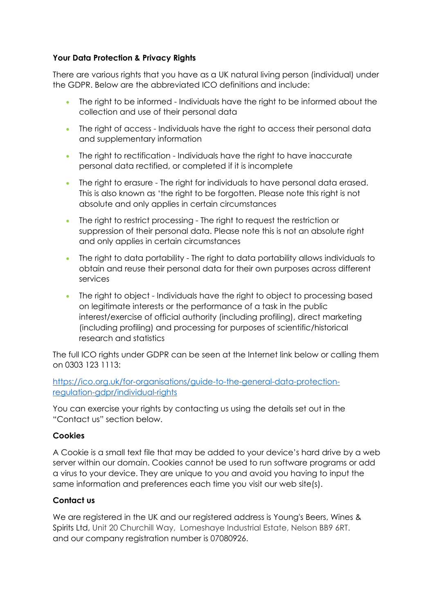## **Your Data Protection & Privacy Rights**

There are various rights that you have as a UK natural living person (individual) under the GDPR. Below are the abbreviated ICO definitions and include:

- The right to be informed Individuals have the right to be informed about the collection and use of their personal data
- The right of access Individuals have the right to access their personal data and supplementary information
- The right to rectification Individuals have the right to have inaccurate personal data rectified, or completed if it is incomplete
- The right to erasure The right for individuals to have personal data erased. This is also known as 'the right to be forgotten. Please note this right is not absolute and only applies in certain circumstances
- The right to restrict processing The right to request the restriction or suppression of their personal data. Please note this is not an absolute right and only applies in certain circumstances
- The right to data portability The right to data portability allows individuals to obtain and reuse their personal data for their own purposes across different services
- The right to object Individuals have the right to object to processing based on legitimate interests or the performance of a task in the public interest/exercise of official authority (including profiling), direct marketing (including profiling) and processing for purposes of scientific/historical research and statistics

The full ICO rights under GDPR can be seen at the Internet link below or calling them on 0303 123 1113:

https://ico.org.uk/for-organisations/guide-to-the-general-data-protectionregulation-gdpr/individual-rights

You can exercise your rights by contacting us using the details set out in the "Contact us" section below.

## **Cookies**

A Cookie is a small text file that may be added to your device's hard drive by a web server within our domain. Cookies cannot be used to run software programs or add a virus to your device. They are unique to you and avoid you having to input the same information and preferences each time you visit our web site(s).

## **Contact us**

We are registered in the UK and our registered address is Young's Beers, Wines & Spirits Ltd, Unit 20 Churchill Way, Lomeshaye Industrial Estate, Nelson BB9 6RT. and our company registration number is 07080926.